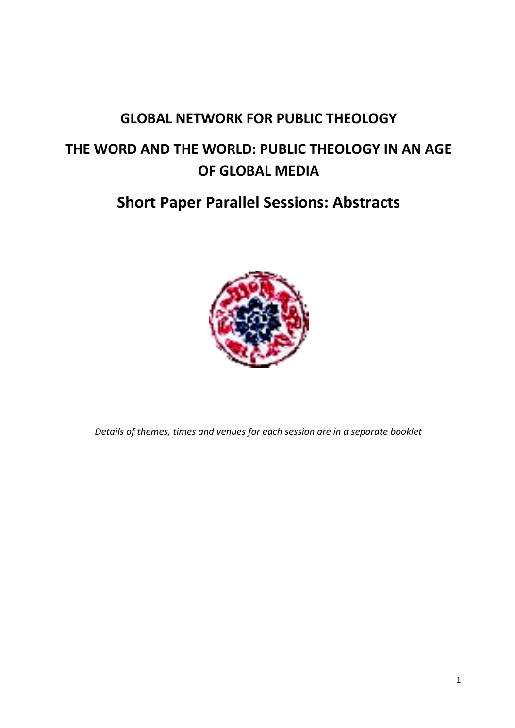# **GLOBAL NETWORK FOR PUBLIC THEOLOGY**

# **THE WORD AND THE WORLD: PUBLIC THEOLOGY IN AN AGE OF GLOBAL MEDIA**

# **Short Paper Parallel Sessions: Abstracts**



*Details of themes, times and venues for each session are in a separate booklet*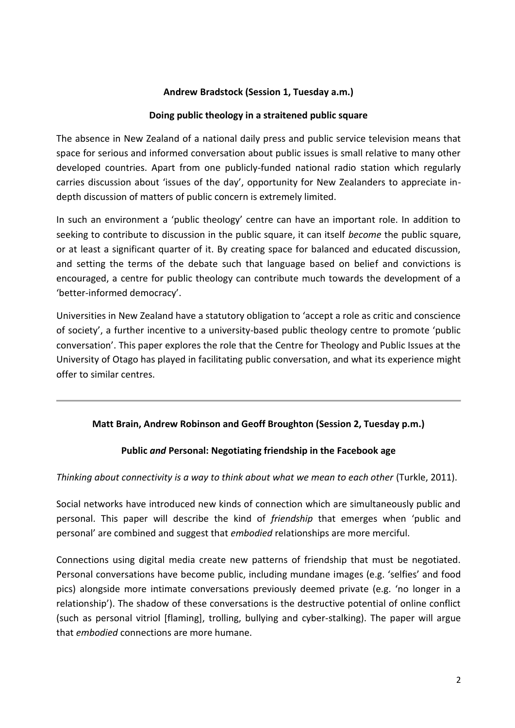## **Andrew Bradstock (Session 1, Tuesday a.m.)**

#### **Doing public theology in a straitened public square**

The absence in New Zealand of a national daily press and public service television means that space for serious and informed conversation about public issues is small relative to many other developed countries. Apart from one publicly-funded national radio station which regularly carries discussion about 'issues of the day', opportunity for New Zealanders to appreciate indepth discussion of matters of public concern is extremely limited.

In such an environment a 'public theology' centre can have an important role. In addition to seeking to contribute to discussion in the public square, it can itself *become* the public square, or at least a significant quarter of it. By creating space for balanced and educated discussion, and setting the terms of the debate such that language based on belief and convictions is encouraged, a centre for public theology can contribute much towards the development of a 'better-informed democracy'.

Universities in New Zealand have a statutory obligation to 'accept a role as critic and conscience of society', a further incentive to a university-based public theology centre to promote 'public conversation'. This paper explores the role that the Centre for Theology and Public Issues at the University of Otago has played in facilitating public conversation, and what its experience might offer to similar centres.

## **Matt Brain, Andrew Robinson and Geoff Broughton (Session 2, Tuesday p.m.)**

#### **Public** *and* **Personal: Negotiating friendship in the Facebook age**

#### *Thinking about connectivity is a way to think about what we mean to each other (Turkle, 2011).*

Social networks have introduced new kinds of connection which are simultaneously public and personal. This paper will describe the kind of *friendship* that emerges when 'public and personal' are combined and suggest that *embodied* relationships are more merciful.

Connections using digital media create new patterns of friendship that must be negotiated. Personal conversations have become public, including mundane images (e.g. 'selfies' and food pics) alongside more intimate conversations previously deemed private (e.g. 'no longer in a relationship'). The shadow of these conversations is the destructive potential of online conflict (such as personal vitriol [flaming], trolling, bullying and cyber-stalking). The paper will argue that *embodied* connections are more humane.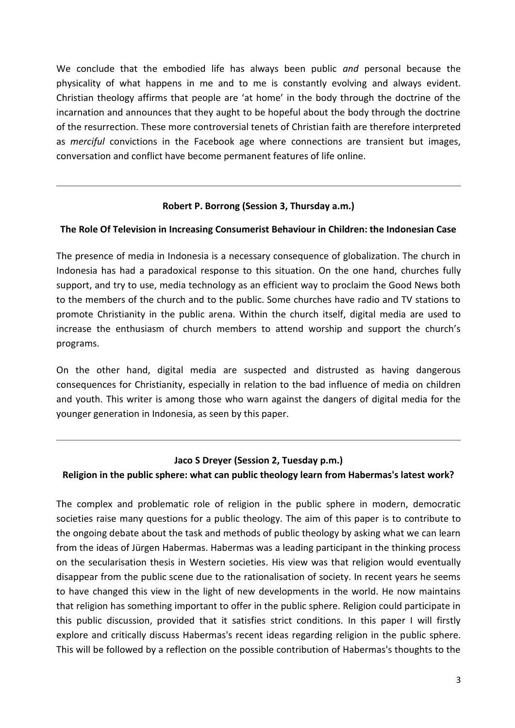We conclude that the embodied life has always been public *and* personal because the physicality of what happens in me and to me is constantly evolving and always evident. Christian theology affirms that people are 'at home' in the body through the doctrine of the incarnation and announces that they aught to be hopeful about the body through the doctrine of the resurrection. These more controversial tenets of Christian faith are therefore interpreted as *merciful* convictions in the Facebook age where connections are transient but images, conversation and conflict have become permanent features of life online.

## **Robert P. Borrong (Session 3, Thursday a.m.)**

#### **The Role Of Television in Increasing Consumerist Behaviour in Children: the Indonesian Case**

The presence of media in Indonesia is a necessary consequence of globalization. The church in Indonesia has had a paradoxical response to this situation. On the one hand, churches fully support, and try to use, media technology as an efficient way to proclaim the Good News both to the members of the church and to the public. Some churches have radio and TV stations to promote Christianity in the public arena. Within the church itself, digital media are used to increase the enthusiasm of church members to attend worship and support the church's programs.

On the other hand, digital media are suspected and distrusted as having dangerous consequences for Christianity, especially in relation to the bad influence of media on children and youth. This writer is among those who warn against the dangers of digital media for the younger generation in Indonesia, as seen by this paper.

#### **Jaco S Dreyer (Session 2, Tuesday p.m.)**

#### **Religion in the public sphere: what can public theology learn from Habermas's latest work?**

The complex and problematic role of religion in the public sphere in modern, democratic societies raise many questions for a public theology. The aim of this paper is to contribute to the ongoing debate about the task and methods of public theology by asking what we can learn from the ideas of Jürgen Habermas. Habermas was a leading participant in the thinking process on the secularisation thesis in Western societies. His view was that religion would eventually disappear from the public scene due to the rationalisation of society. In recent years he seems to have changed this view in the light of new developments in the world. He now maintains that religion has something important to offer in the public sphere. Religion could participate in this public discussion, provided that it satisfies strict conditions. In this paper I will firstly explore and critically discuss Habermas's recent ideas regarding religion in the public sphere. This will be followed by a reflection on the possible contribution of Habermas's thoughts to the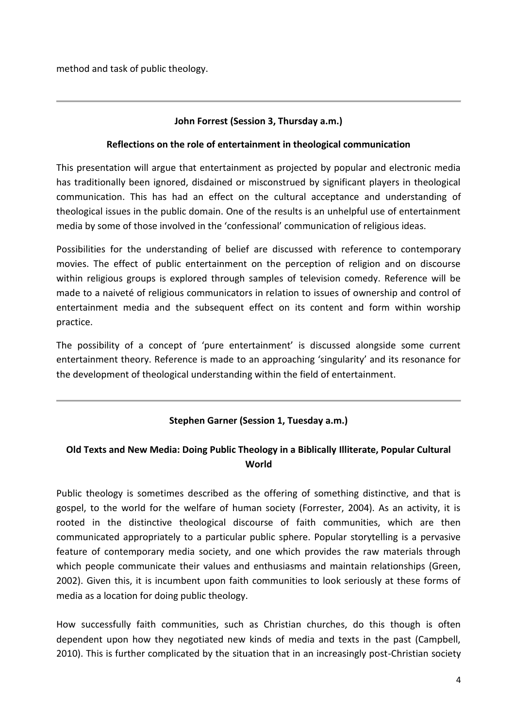method and task of public theology.

## **John Forrest (Session 3, Thursday a.m.)**

## **Reflections on the role of entertainment in theological communication**

This presentation will argue that entertainment as projected by popular and electronic media has traditionally been ignored, disdained or misconstrued by significant players in theological communication. This has had an effect on the cultural acceptance and understanding of theological issues in the public domain. One of the results is an unhelpful use of entertainment media by some of those involved in the 'confessional' communication of religious ideas.

Possibilities for the understanding of belief are discussed with reference to contemporary movies. The effect of public entertainment on the perception of religion and on discourse within religious groups is explored through samples of television comedy. Reference will be made to a naiveté of religious communicators in relation to issues of ownership and control of entertainment media and the subsequent effect on its content and form within worship practice.

The possibility of a concept of 'pure entertainment' is discussed alongside some current entertainment theory. Reference is made to an approaching 'singularity' and its resonance for the development of theological understanding within the field of entertainment.

## **Stephen Garner (Session 1, Tuesday a.m.)**

# **Old Texts and New Media: Doing Public Theology in a Biblically Illiterate, Popular Cultural World**

Public theology is sometimes described as the offering of something distinctive, and that is gospel, to the world for the welfare of human society (Forrester, 2004). As an activity, it is rooted in the distinctive theological discourse of faith communities, which are then communicated appropriately to a particular public sphere. Popular storytelling is a pervasive feature of contemporary media society, and one which provides the raw materials through which people communicate their values and enthusiasms and maintain relationships (Green, 2002). Given this, it is incumbent upon faith communities to look seriously at these forms of media as a location for doing public theology.

How successfully faith communities, such as Christian churches, do this though is often dependent upon how they negotiated new kinds of media and texts in the past (Campbell, 2010). This is further complicated by the situation that in an increasingly post-Christian society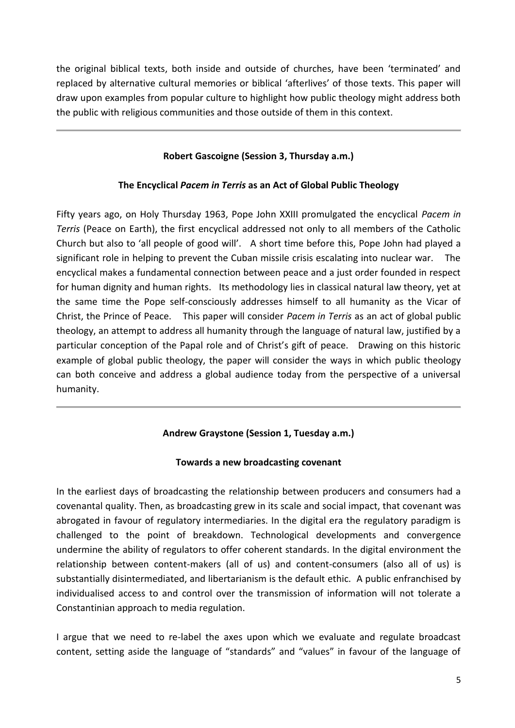the original biblical texts, both inside and outside of churches, have been 'terminated' and replaced by alternative cultural memories or biblical 'afterlives' of those texts. This paper will draw upon examples from popular culture to highlight how public theology might address both the public with religious communities and those outside of them in this context.

## **Robert Gascoigne (Session 3, Thursday a.m.)**

## **The Encyclical** *Pacem in Terris* **as an Act of Global Public Theology**

Fifty years ago, on Holy Thursday 1963, Pope John XXIII promulgated the encyclical *Pacem in Terris* (Peace on Earth), the first encyclical addressed not only to all members of the Catholic Church but also to 'all people of good will'. A short time before this, Pope John had played a significant role in helping to prevent the Cuban missile crisis escalating into nuclear war. The encyclical makes a fundamental connection between peace and a just order founded in respect for human dignity and human rights. Its methodology lies in classical natural law theory, yet at the same time the Pope self-consciously addresses himself to all humanity as the Vicar of Christ, the Prince of Peace. This paper will consider *Pacem in Terris* as an act of global public theology, an attempt to address all humanity through the language of natural law, justified by a particular conception of the Papal role and of Christ's gift of peace. Drawing on this historic example of global public theology, the paper will consider the ways in which public theology can both conceive and address a global audience today from the perspective of a universal humanity.

## **Andrew Graystone (Session 1, Tuesday a.m.)**

## **Towards a new broadcasting covenant**

In the earliest days of broadcasting the relationship between producers and consumers had a covenantal quality. Then, as broadcasting grew in its scale and social impact, that covenant was abrogated in favour of regulatory intermediaries. In the digital era the regulatory paradigm is challenged to the point of breakdown. Technological developments and convergence undermine the ability of regulators to offer coherent standards. In the digital environment the relationship between content-makers (all of us) and content-consumers (also all of us) is substantially disintermediated, and libertarianism is the default ethic. A public enfranchised by individualised access to and control over the transmission of information will not tolerate a Constantinian approach to media regulation.

I argue that we need to re-label the axes upon which we evaluate and regulate broadcast content, setting aside the language of "standards" and "values" in favour of the language of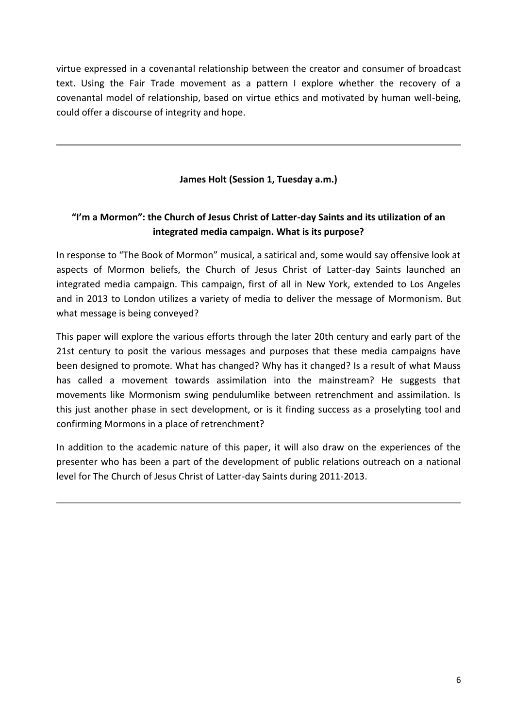virtue expressed in a covenantal relationship between the creator and consumer of broadcast text. Using the Fair Trade movement as a pattern I explore whether the recovery of a covenantal model of relationship, based on virtue ethics and motivated by human well-being, could offer a discourse of integrity and hope.

## **James Holt (Session 1, Tuesday a.m.)**

# **"I'm a Mormon": the Church of Jesus Christ of Latter-day Saints and its utilization of an integrated media campaign. What is its purpose?**

In response to "The Book of Mormon" musical, a satirical and, some would say offensive look at aspects of Mormon beliefs, the Church of Jesus Christ of Latter-day Saints launched an integrated media campaign. This campaign, first of all in New York, extended to Los Angeles and in 2013 to London utilizes a variety of media to deliver the message of Mormonism. But what message is being conveyed?

This paper will explore the various efforts through the later 20th century and early part of the 21st century to posit the various messages and purposes that these media campaigns have been designed to promote. What has changed? Why has it changed? Is a result of what Mauss has called a movement towards assimilation into the mainstream? He suggests that movements like Mormonism swing pendulumlike between retrenchment and assimilation. Is this just another phase in sect development, or is it finding success as a proselyting tool and confirming Mormons in a place of retrenchment?

In addition to the academic nature of this paper, it will also draw on the experiences of the presenter who has been a part of the development of public relations outreach on a national level for The Church of Jesus Christ of Latter-day Saints during 2011-2013.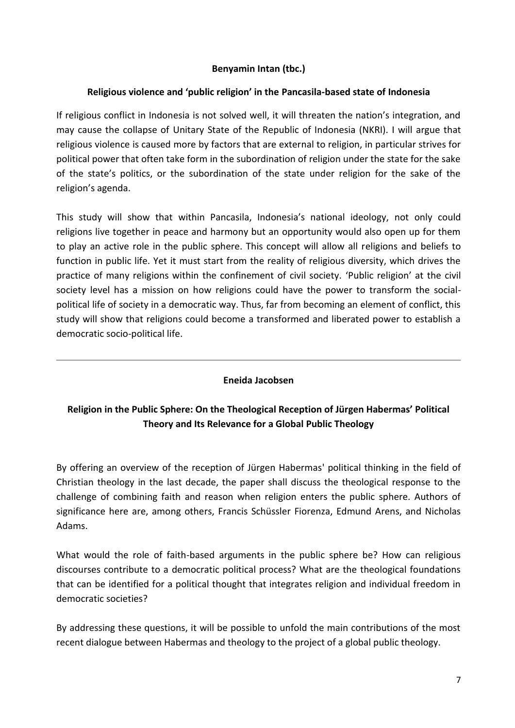## **Benyamin Intan (tbc.)**

#### **Religious violence and 'public religion' in the Pancasila-based state of Indonesia**

If religious conflict in Indonesia is not solved well, it will threaten the nation's integration, and may cause the collapse of Unitary State of the Republic of Indonesia (NKRI). I will argue that religious violence is caused more by factors that are external to religion, in particular strives for political power that often take form in the subordination of religion under the state for the sake of the state's politics, or the subordination of the state under religion for the sake of the religion's agenda.

This study will show that within Pancasila, Indonesia's national ideology, not only could religions live together in peace and harmony but an opportunity would also open up for them to play an active role in the public sphere. This concept will allow all religions and beliefs to function in public life. Yet it must start from the reality of religious diversity, which drives the practice of many religions within the confinement of civil society. 'Public religion' at the civil society level has a mission on how religions could have the power to transform the socialpolitical life of society in a democratic way. Thus, far from becoming an element of conflict, this study will show that religions could become a transformed and liberated power to establish a democratic socio-political life.

## **Eneida Jacobsen**

# **Religion in the Public Sphere: On the Theological Reception of Jürgen Habermas' Political Theory and Its Relevance for a Global Public Theology**

By offering an overview of the reception of Jürgen Habermas' political thinking in the field of Christian theology in the last decade, the paper shall discuss the theological response to the challenge of combining faith and reason when religion enters the public sphere. Authors of significance here are, among others, Francis Schüssler Fiorenza, Edmund Arens, and Nicholas Adams.

What would the role of faith-based arguments in the public sphere be? How can religious discourses contribute to a democratic political process? What are the theological foundations that can be identified for a political thought that integrates religion and individual freedom in democratic societies?

By addressing these questions, it will be possible to unfold the main contributions of the most recent dialogue between Habermas and theology to the project of a global public theology.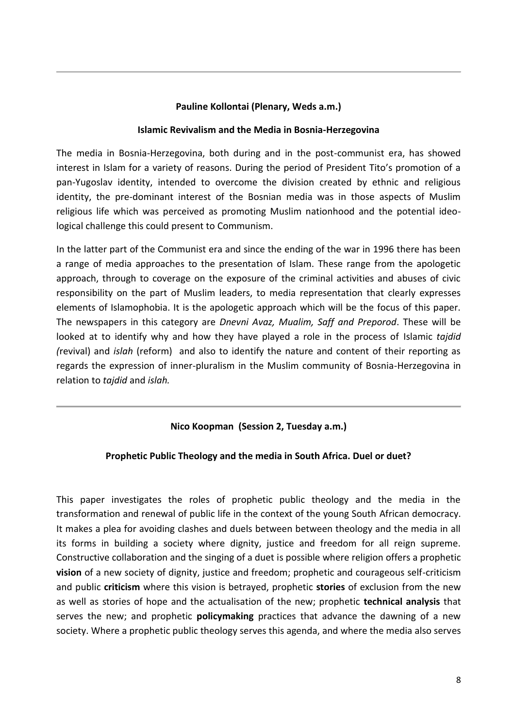#### **Pauline Kollontai (Plenary, Weds a.m.)**

#### **Islamic Revivalism and the Media in Bosnia-Herzegovina**

The media in Bosnia-Herzegovina, both during and in the post-communist era, has showed interest in Islam for a variety of reasons. During the period of President Tito's promotion of a pan-Yugoslav identity, intended to overcome the division created by ethnic and religious identity, the pre-dominant interest of the Bosnian media was in those aspects of Muslim religious life which was perceived as promoting Muslim nationhood and the potential ideological challenge this could present to Communism.

In the latter part of the Communist era and since the ending of the war in 1996 there has been a range of media approaches to the presentation of Islam. These range from the apologetic approach, through to coverage on the exposure of the criminal activities and abuses of civic responsibility on the part of Muslim leaders, to media representation that clearly expresses elements of Islamophobia. It is the apologetic approach which will be the focus of this paper. The newspapers in this category are *Dnevni Avaz, Mualim, Saff and Preporod*. These will be looked at to identify why and how they have played a role in the process of Islamic *tajdid (*revival) and *islah* (reform) and also to identify the nature and content of their reporting as regards the expression of inner-pluralism in the Muslim community of Bosnia-Herzegovina in relation to *tajdid* and *islah.*

## **Nico Koopman (Session 2, Tuesday a.m.)**

## **Prophetic Public Theology and the media in South Africa. Duel or duet?**

This paper investigates the roles of prophetic public theology and the media in the transformation and renewal of public life in the context of the young South African democracy. It makes a plea for avoiding clashes and duels between between theology and the media in all its forms in building a society where dignity, justice and freedom for all reign supreme. Constructive collaboration and the singing of a duet is possible where religion offers a prophetic **vision** of a new society of dignity, justice and freedom; prophetic and courageous self-criticism and public **criticism** where this vision is betrayed, prophetic **stories** of exclusion from the new as well as stories of hope and the actualisation of the new; prophetic **technical analysis** that serves the new; and prophetic **policymaking** practices that advance the dawning of a new society. Where a prophetic public theology serves this agenda, and where the media also serves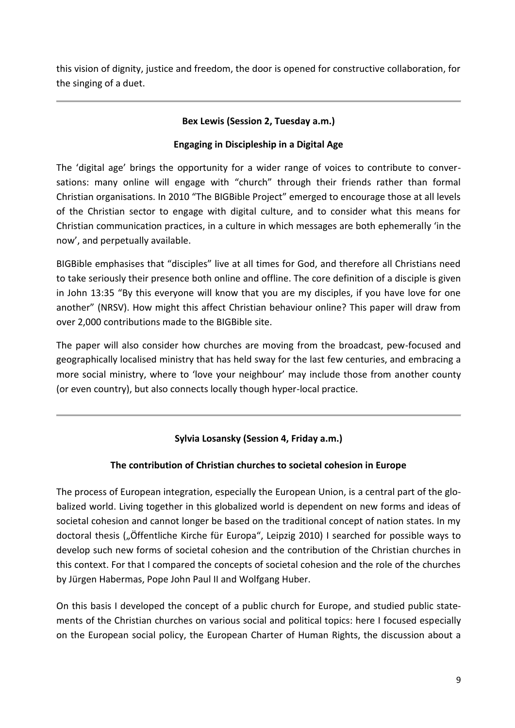this vision of dignity, justice and freedom, the door is opened for constructive collaboration, for the singing of a duet.

## **Bex Lewis (Session 2, Tuesday a.m.)**

## **Engaging in Discipleship in a Digital Age**

The 'digital age' brings the opportunity for a wider range of voices to contribute to conversations: many online will engage with "church" through their friends rather than formal Christian organisations. In 2010 "The BIGBible Project" emerged to encourage those at all levels of the Christian sector to engage with digital culture, and to consider what this means for Christian communication practices, in a culture in which messages are both ephemerally 'in the now', and perpetually available.

BIGBible emphasises that "disciples" live at all times for God, and therefore all Christians need to take seriously their presence both online and offline. The core definition of a disciple is given in John 13:35 "By this everyone will know that you are my disciples, if you have love for one another" (NRSV). How might this affect Christian behaviour online? This paper will draw from over 2,000 contributions made to the BIGBible site.

The paper will also consider how churches are moving from the broadcast, pew-focused and geographically localised ministry that has held sway for the last few centuries, and embracing a more social ministry, where to 'love your neighbour' may include those from another county (or even country), but also connects locally though hyper-local practice.

## **Sylvia Losansky (Session 4, Friday a.m.)**

## **The contribution of Christian churches to societal cohesion in Europe**

The process of European integration, especially the European Union, is a central part of the globalized world. Living together in this globalized world is dependent on new forms and ideas of societal cohesion and cannot longer be based on the traditional concept of nation states. In my doctoral thesis ("Öffentliche Kirche für Europa", Leipzig 2010) I searched for possible ways to develop such new forms of societal cohesion and the contribution of the Christian churches in this context. For that I compared the concepts of societal cohesion and the role of the churches by Jürgen Habermas, Pope John Paul II and Wolfgang Huber.

On this basis I developed the concept of a public church for Europe, and studied public statements of the Christian churches on various social and political topics: here I focused especially on the European social policy, the European Charter of Human Rights, the discussion about a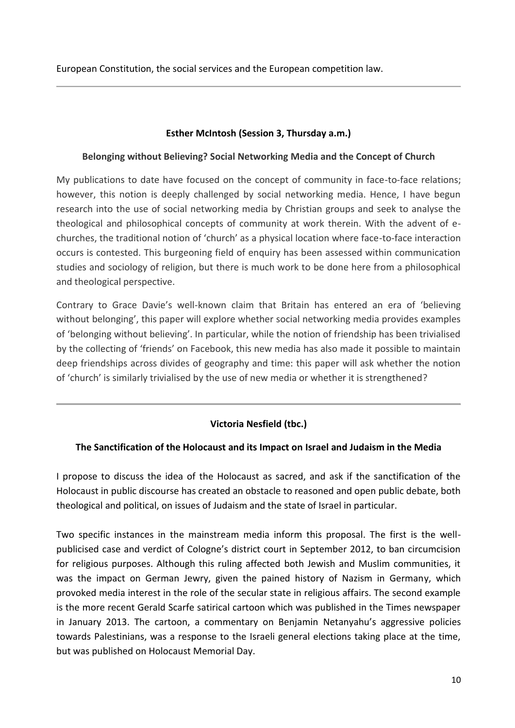European Constitution, the social services and the European competition law.

## **Esther McIntosh (Session 3, Thursday a.m.)**

#### **Belonging without Believing? Social Networking Media and the Concept of Church**

My publications to date have focused on the concept of community in face-to-face relations; however, this notion is deeply challenged by social networking media. Hence, I have begun research into the use of social networking media by Christian groups and seek to analyse the theological and philosophical concepts of community at work therein. With the advent of echurches, the traditional notion of 'church' as a physical location where face-to-face interaction occurs is contested. This burgeoning field of enquiry has been assessed within communication studies and sociology of religion, but there is much work to be done here from a philosophical and theological perspective.

Contrary to Grace Davie's well-known claim that Britain has entered an era of 'believing without belonging', this paper will explore whether social networking media provides examples of 'belonging without believing'. In particular, while the notion of friendship has been trivialised by the collecting of 'friends' on Facebook, this new media has also made it possible to maintain deep friendships across divides of geography and time: this paper will ask whether the notion of 'church' is similarly trivialised by the use of new media or whether it is strengthened?

## **Victoria Nesfield (tbc.)**

## **The Sanctification of the Holocaust and its Impact on Israel and Judaism in the Media**

I propose to discuss the idea of the Holocaust as sacred, and ask if the sanctification of the Holocaust in public discourse has created an obstacle to reasoned and open public debate, both theological and political, on issues of Judaism and the state of Israel in particular.

Two specific instances in the mainstream media inform this proposal. The first is the wellpublicised case and verdict of Cologne's district court in September 2012, to ban circumcision for religious purposes. Although this ruling affected both Jewish and Muslim communities, it was the impact on German Jewry, given the pained history of Nazism in Germany, which provoked media interest in the role of the secular state in religious affairs. The second example is the more recent Gerald Scarfe satirical cartoon which was published in the Times newspaper in January 2013. The cartoon, a commentary on Benjamin Netanyahu's aggressive policies towards Palestinians, was a response to the Israeli general elections taking place at the time, but was published on Holocaust Memorial Day.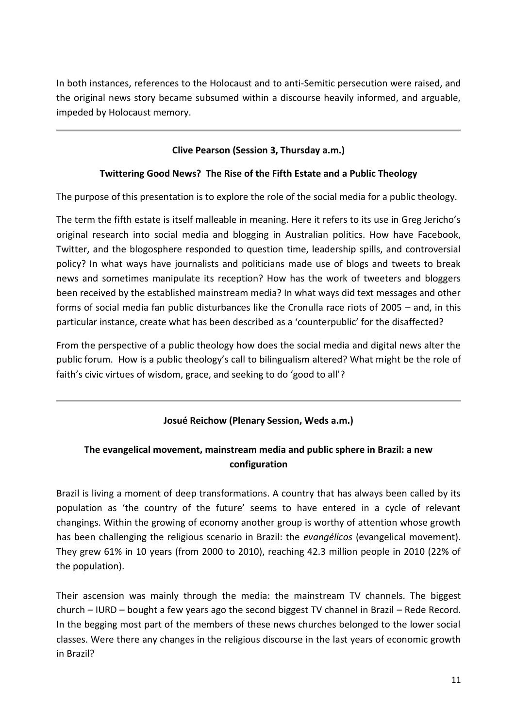In both instances, references to the Holocaust and to anti-Semitic persecution were raised, and the original news story became subsumed within a discourse heavily informed, and arguable, impeded by Holocaust memory.

## **Clive Pearson (Session 3, Thursday a.m.)**

## **Twittering Good News? The Rise of the Fifth Estate and a Public Theology**

The purpose of this presentation is to explore the role of the social media for a public theology.

The term the fifth estate is itself malleable in meaning. Here it refers to its use in Greg Jericho's original research into social media and blogging in Australian politics. How have Facebook, Twitter, and the blogosphere responded to question time, leadership spills, and controversial policy? In what ways have journalists and politicians made use of blogs and tweets to break news and sometimes manipulate its reception? How has the work of tweeters and bloggers been received by the established mainstream media? In what ways did text messages and other forms of social media fan public disturbances like the Cronulla race riots of 2005 – and, in this particular instance, create what has been described as a 'counterpublic' for the disaffected?

From the perspective of a public theology how does the social media and digital news alter the public forum. How is a public theology's call to bilingualism altered? What might be the role of faith's civic virtues of wisdom, grace, and seeking to do 'good to all'?

## **Josué Reichow (Plenary Session, Weds a.m.)**

# **The evangelical movement, mainstream media and public sphere in Brazil: a new configuration**

Brazil is living a moment of deep transformations. A country that has always been called by its population as 'the country of the future' seems to have entered in a cycle of relevant changings. Within the growing of economy another group is worthy of attention whose growth has been challenging the religious scenario in Brazil: the *evangélicos* (evangelical movement). They grew 61% in 10 years (from 2000 to 2010), reaching 42.3 million people in 2010 (22% of the population).

Their ascension was mainly through the media: the mainstream TV channels. The biggest church – IURD – bought a few years ago the second biggest TV channel in Brazil – Rede Record. In the begging most part of the members of these news churches belonged to the lower social classes. Were there any changes in the religious discourse in the last years of economic growth in Brazil?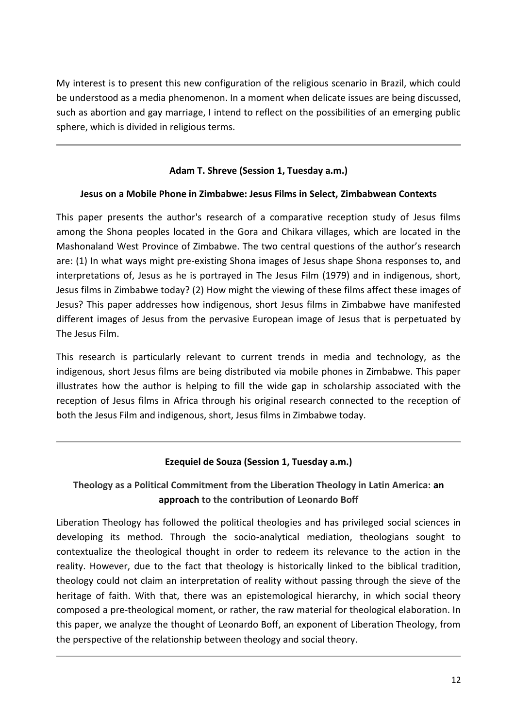My interest is to present this new configuration of the religious scenario in Brazil, which could be understood as a media phenomenon. In a moment when delicate issues are being discussed, such as abortion and gay marriage, I intend to reflect on the possibilities of an emerging public sphere, which is divided in religious terms.

## **Adam T. Shreve (Session 1, Tuesday a.m.)**

## **Jesus on a Mobile Phone in Zimbabwe: Jesus Films in Select, Zimbabwean Contexts**

This paper presents the author's research of a comparative reception study of Jesus films among the Shona peoples located in the Gora and Chikara villages, which are located in the Mashonaland West Province of Zimbabwe. The two central questions of the author's research are: (1) In what ways might pre-existing Shona images of Jesus shape Shona responses to, and interpretations of, Jesus as he is portrayed in The Jesus Film (1979) and in indigenous, short, Jesus films in Zimbabwe today? (2) How might the viewing of these films affect these images of Jesus? This paper addresses how indigenous, short Jesus films in Zimbabwe have manifested different images of Jesus from the pervasive European image of Jesus that is perpetuated by The Jesus Film.

This research is particularly relevant to current trends in media and technology, as the indigenous, short Jesus films are being distributed via mobile phones in Zimbabwe. This paper illustrates how the author is helping to fill the wide gap in scholarship associated with the reception of Jesus films in Africa through his original research connected to the reception of both the Jesus Film and indigenous, short, Jesus films in Zimbabwe today.

## **Ezequiel de Souza (Session 1, Tuesday a.m.)**

# **Theology as a Political Commitment from the Liberation Theology in Latin America: an approach to the contribution of Leonardo Boff**

Liberation Theology has followed the political theologies and has privileged social sciences in developing its method. Through the socio-analytical mediation, theologians sought to contextualize the theological thought in order to redeem its relevance to the action in the reality. However, due to the fact that theology is historically linked to the biblical tradition, theology could not claim an interpretation of reality without passing through the sieve of the heritage of faith. With that, there was an epistemological hierarchy, in which social theory composed a pre-theological moment, or rather, the raw material for theological elaboration. In this paper, we analyze the thought of Leonardo Boff, an exponent of Liberation Theology, from the perspective of the relationship between theology and social theory.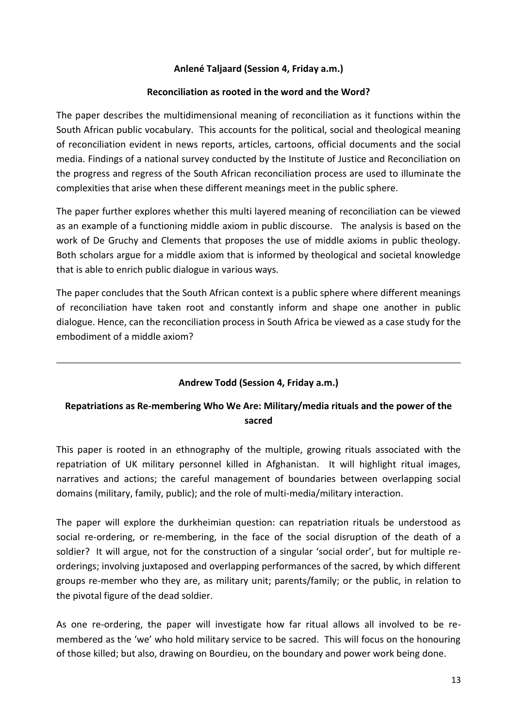## **Anlené Taljaard (Session 4, Friday a.m.)**

#### **Reconciliation as rooted in the word and the Word?**

The paper describes the multidimensional meaning of reconciliation as it functions within the South African public vocabulary. This accounts for the political, social and theological meaning of reconciliation evident in news reports, articles, cartoons, official documents and the social media. Findings of a national survey conducted by the Institute of Justice and Reconciliation on the progress and regress of the South African reconciliation process are used to illuminate the complexities that arise when these different meanings meet in the public sphere.

The paper further explores whether this multi layered meaning of reconciliation can be viewed as an example of a functioning middle axiom in public discourse. The analysis is based on the work of De Gruchy and Clements that proposes the use of middle axioms in public theology. Both scholars argue for a middle axiom that is informed by theological and societal knowledge that is able to enrich public dialogue in various ways.

The paper concludes that the South African context is a public sphere where different meanings of reconciliation have taken root and constantly inform and shape one another in public dialogue. Hence, can the reconciliation process in South Africa be viewed as a case study for the embodiment of a middle axiom?

## **Andrew Todd (Session 4, Friday a.m.)**

## **Repatriations as Re-membering Who We Are: Military/media rituals and the power of the sacred**

This paper is rooted in an ethnography of the multiple, growing rituals associated with the repatriation of UK military personnel killed in Afghanistan. It will highlight ritual images, narratives and actions; the careful management of boundaries between overlapping social domains (military, family, public); and the role of multi-media/military interaction.

The paper will explore the durkheimian question: can repatriation rituals be understood as social re-ordering, or re-membering, in the face of the social disruption of the death of a soldier? It will argue, not for the construction of a singular 'social order', but for multiple reorderings; involving juxtaposed and overlapping performances of the sacred, by which different groups re-member who they are, as military unit; parents/family; or the public, in relation to the pivotal figure of the dead soldier.

As one re-ordering, the paper will investigate how far ritual allows all involved to be remembered as the 'we' who hold military service to be sacred. This will focus on the honouring of those killed; but also, drawing on Bourdieu, on the boundary and power work being done.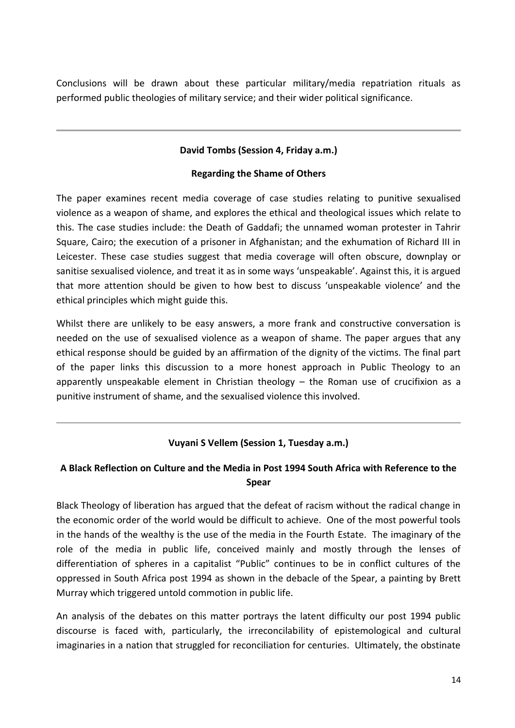Conclusions will be drawn about these particular military/media repatriation rituals as performed public theologies of military service; and their wider political significance.

## **David Tombs (Session 4, Friday a.m.)**

## **Regarding the Shame of Others**

The paper examines recent media coverage of case studies relating to punitive sexualised violence as a weapon of shame, and explores the ethical and theological issues which relate to this. The case studies include: the Death of Gaddafi; the unnamed woman protester in Tahrir Square, Cairo; the execution of a prisoner in Afghanistan; and the exhumation of Richard III in Leicester. These case studies suggest that media coverage will often obscure, downplay or sanitise sexualised violence, and treat it as in some ways 'unspeakable'. Against this, it is argued that more attention should be given to how best to discuss 'unspeakable violence' and the ethical principles which might guide this.

Whilst there are unlikely to be easy answers, a more frank and constructive conversation is needed on the use of sexualised violence as a weapon of shame. The paper argues that any ethical response should be guided by an affirmation of the dignity of the victims. The final part of the paper links this discussion to a more honest approach in Public Theology to an apparently unspeakable element in Christian theology – the Roman use of crucifixion as a punitive instrument of shame, and the sexualised violence this involved.

## **Vuyani S Vellem (Session 1, Tuesday a.m.)**

# **A Black Reflection on Culture and the Media in Post 1994 South Africa with Reference to the Spear**

Black Theology of liberation has argued that the defeat of racism without the radical change in the economic order of the world would be difficult to achieve. One of the most powerful tools in the hands of the wealthy is the use of the media in the Fourth Estate. The imaginary of the role of the media in public life, conceived mainly and mostly through the lenses of differentiation of spheres in a capitalist "Public" continues to be in conflict cultures of the oppressed in South Africa post 1994 as shown in the debacle of the Spear, a painting by Brett Murray which triggered untold commotion in public life.

An analysis of the debates on this matter portrays the latent difficulty our post 1994 public discourse is faced with, particularly, the irreconcilability of epistemological and cultural imaginaries in a nation that struggled for reconciliation for centuries. Ultimately, the obstinate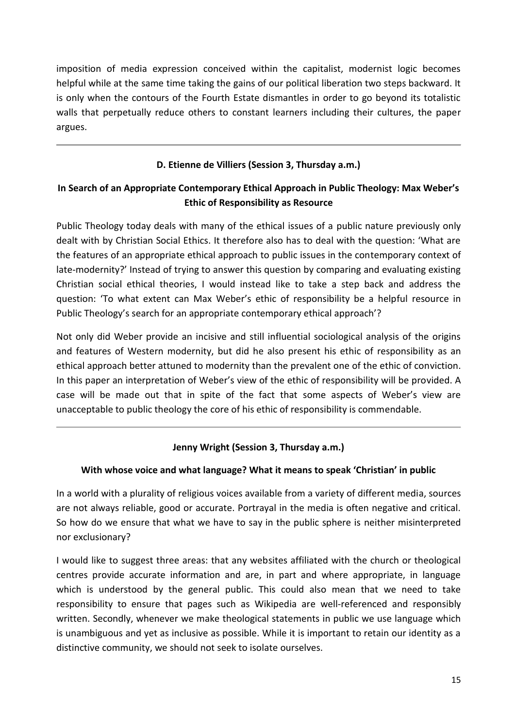imposition of media expression conceived within the capitalist, modernist logic becomes helpful while at the same time taking the gains of our political liberation two steps backward. It is only when the contours of the Fourth Estate dismantles in order to go beyond its totalistic walls that perpetually reduce others to constant learners including their cultures, the paper argues.

## **D. Etienne de Villiers (Session 3, Thursday a.m.)**

# **In Search of an Appropriate Contemporary Ethical Approach in Public Theology: Max Weber's Ethic of Responsibility as Resource**

Public Theology today deals with many of the ethical issues of a public nature previously only dealt with by Christian Social Ethics. It therefore also has to deal with the question: 'What are the features of an appropriate ethical approach to public issues in the contemporary context of late-modernity?' Instead of trying to answer this question by comparing and evaluating existing Christian social ethical theories, I would instead like to take a step back and address the question: 'To what extent can Max Weber's ethic of responsibility be a helpful resource in Public Theology's search for an appropriate contemporary ethical approach'?

Not only did Weber provide an incisive and still influential sociological analysis of the origins and features of Western modernity, but did he also present his ethic of responsibility as an ethical approach better attuned to modernity than the prevalent one of the ethic of conviction. In this paper an interpretation of Weber's view of the ethic of responsibility will be provided. A case will be made out that in spite of the fact that some aspects of Weber's view are unacceptable to public theology the core of his ethic of responsibility is commendable.

## **Jenny Wright (Session 3, Thursday a.m.)**

## **With whose voice and what language? What it means to speak 'Christian' in public**

In a world with a plurality of religious voices available from a variety of different media, sources are not always reliable, good or accurate. Portrayal in the media is often negative and critical. So how do we ensure that what we have to say in the public sphere is neither misinterpreted nor exclusionary?

I would like to suggest three areas: that any websites affiliated with the church or theological centres provide accurate information and are, in part and where appropriate, in language which is understood by the general public. This could also mean that we need to take responsibility to ensure that pages such as Wikipedia are well-referenced and responsibly written. Secondly, whenever we make theological statements in public we use language which is unambiguous and yet as inclusive as possible. While it is important to retain our identity as a distinctive community, we should not seek to isolate ourselves.